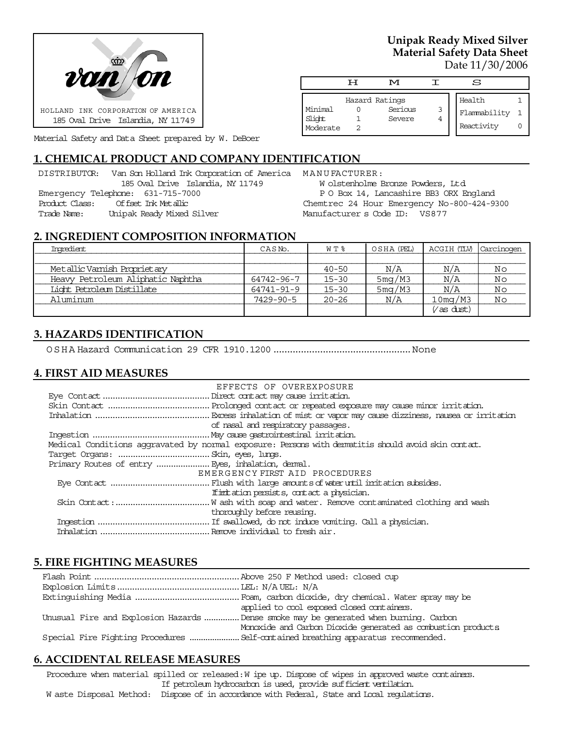

Material Safety and Data Sheet prepared by W. DeBoer

# **1. CHEMICAL PRODUCT AND COMPANY IDENTIFICATION**

|                | DISTRIBUTOR: Van Son Holland Ink Corporation of America |
|----------------|---------------------------------------------------------|
|                | 185 Oval Drive Islandia, NY 11749                       |
|                | Emergency Telephone: 631-715-7000                       |
| Product Class: | Of fset. Ink Metallic                                   |
| Trade Name:    | Unipak Ready Mixed Silver                               |
|                |                                                         |

**Unipak Ready Mixed Silver Material Safety Data Sheet** Date 11/30/2006

|                               | H | M                                   |        | S                                    |  |
|-------------------------------|---|-------------------------------------|--------|--------------------------------------|--|
| Minimal<br>Slight<br>Moderate |   | Hazard Ratings<br>Serious<br>Severe | 3<br>4 | Health<br>Flammability<br>Reactivity |  |

MANUFACTURER: W olstenholme Bronze Powders, Ltd. P O Box 14, Lancashire BB3 ORX England Chemtrec 24 Hour Emergency No-800-424-9300 Manufacturer s Code ID: VS877

#### **2. INGREDIENT COMPOSITION INFORMATION**

| Imredient                         | CASN <sub>o</sub> . | WT %      | OSHA (PEL) | ACGIH (TLV) | Carcinogen |
|-----------------------------------|---------------------|-----------|------------|-------------|------------|
|                                   |                     |           |            |             |            |
| Metallic Vamish Proprietary       |                     | $40 - 50$ | N/A        | N/A         | Νo         |
| Heavy Petroleum Aliphatic Naphtha | 64742-96-7          | $15 - 30$ | 5mg/M3     | N/A         | Νo         |
| Light Petroleum Distillate        | 64741-91-9          | $15 - 30$ | 5mg/M3     | N/A         | Νo         |
| Aluminum                          | $7429 - 90 - 5$     | $20 - 26$ | N/A        | $10$ mg/M3  | Νo         |
|                                   |                     |           |            | (as dust)   |            |

## **3. HAZARDS IDENTIFICATION**

OSHA Hazard Communication 29 CFR 1910.1200..................................................None

### **4. FIRST AID MEASURES**

| EFFECTS OF OVEREXPOSURE                                                                            |
|----------------------------------------------------------------------------------------------------|
|                                                                                                    |
|                                                                                                    |
|                                                                                                    |
| of nasal and respiratory passages.                                                                 |
|                                                                                                    |
| Medical Conditions aggravated by normal exposure: Persons with dematitis should avoid skin contat. |
|                                                                                                    |
|                                                                                                    |
| EMERGENCY FIRST AID PROCEDURES                                                                     |
|                                                                                                    |
| If initiation persists, contact a physician.                                                       |
|                                                                                                    |
| thoroughly before reusing.                                                                         |
|                                                                                                    |
|                                                                                                    |

### **5. FIRE FIGHTING MEASURES**

| applied to cool exposed closed containers.                                            |
|---------------------------------------------------------------------------------------|
| Unusual Fire and Explosion Hazards  Dense smoke may be generated when burning. Carbon |
| Monoxide and Carbon Dioxide generated as combustion products                          |
|                                                                                       |

### **6. ACCIDENTAL RELEASE MEASURES**

Procedure when material spilled or released: W ipe up. Dispose of wipes in approved waste containers. If petroleum hydrocarbon is used, provide sufficient ventilation.

W aste Disposal Method: Dispose of in accordance with Federal, State and Local regulations.